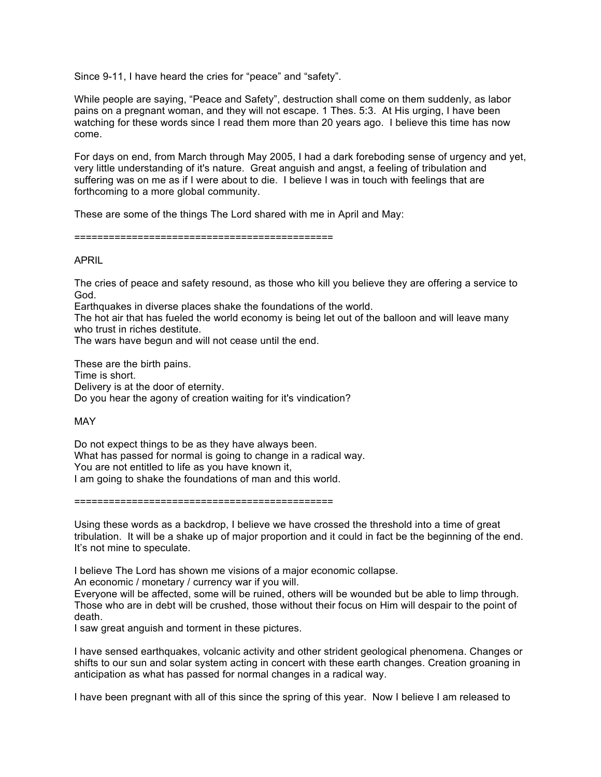Since 9-11, I have heard the cries for "peace" and "safety".

While people are saying, "Peace and Safety", destruction shall come on them suddenly, as labor pains on a pregnant woman, and they will not escape. 1 Thes. 5:3. At His urging, I have been watching for these words since I read them more than 20 years ago. I believe this time has now come.

For days on end, from March through May 2005, I had a dark foreboding sense of urgency and yet, very little understanding of it's nature. Great anguish and angst, a feeling of tribulation and suffering was on me as if I were about to die. I believe I was in touch with feelings that are forthcoming to a more global community.

These are some of the things The Lord shared with me in April and May:

=============================================

## APRIL

The cries of peace and safety resound, as those who kill you believe they are offering a service to God.

Earthquakes in diverse places shake the foundations of the world.

The hot air that has fueled the world economy is being let out of the balloon and will leave many who trust in riches destitute.

The wars have begun and will not cease until the end.

These are the birth pains. Time is short. Delivery is at the door of eternity. Do you hear the agony of creation waiting for it's vindication?

MAY

Do not expect things to be as they have always been. What has passed for normal is going to change in a radical way. You are not entitled to life as you have known it, I am going to shake the foundations of man and this world.

=============================================

Using these words as a backdrop, I believe we have crossed the threshold into a time of great tribulation. It will be a shake up of major proportion and it could in fact be the beginning of the end. It's not mine to speculate.

I believe The Lord has shown me visions of a major economic collapse.

An economic / monetary / currency war if you will.

Everyone will be affected, some will be ruined, others will be wounded but be able to limp through. Those who are in debt will be crushed, those without their focus on Him will despair to the point of death.

I saw great anguish and torment in these pictures.

I have sensed earthquakes, volcanic activity and other strident geological phenomena. Changes or shifts to our sun and solar system acting in concert with these earth changes. Creation groaning in anticipation as what has passed for normal changes in a radical way.

I have been pregnant with all of this since the spring of this year. Now I believe I am released to